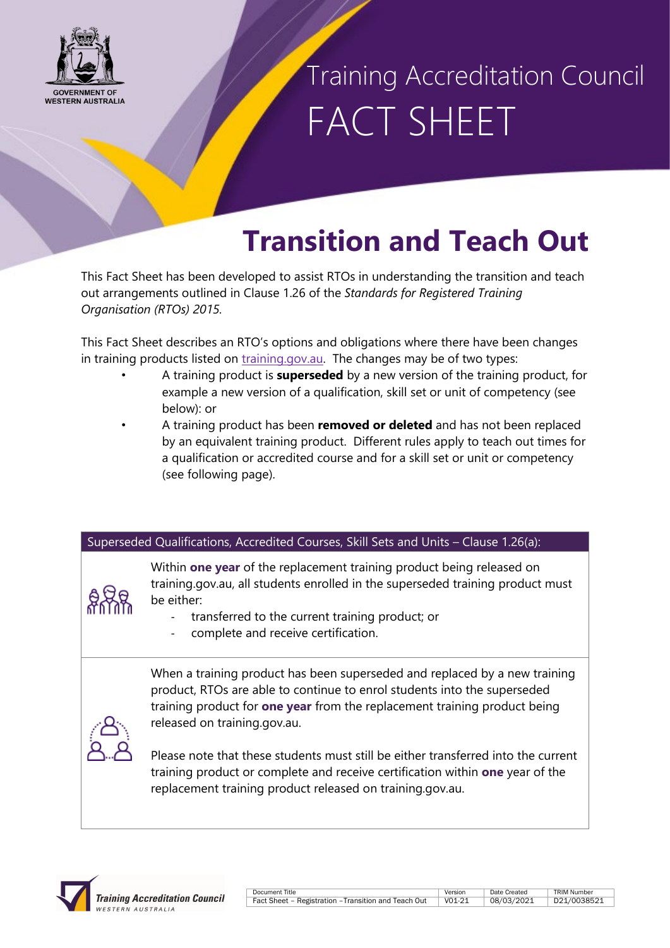

### Training Accreditation Council FACT SHEET

### **Transition and Teach Out**

This Fact Sheet has been developed to assist RTOs in understanding the transition and teach out arrangements outlined in Clause 1.26 of the *Standards for Registered Training Organisation (RTOs) 2015.*

This Fact Sheet describes an RTO's options and obligations where there have been changes in training products listed on [training.gov.au.](https://training.gov.au/Home/Tga) The changes may be of two types:

- A training product is **superseded** by a new version of the training product, for example a new version of a qualification, skill set or unit of competency (see below): or
- A training product has been **removed or deleted** and has not been replaced by an equivalent training product. Different rules apply to teach out times for a qualification or accredited course and for a skill set or unit or competency (see following page).

#### Superseded Qualifications, Accredited Courses, Skill Sets and Units – Clause 1.26(a):



Within **one year** of the replacement training product being released on training.gov.au, all students enrolled in the superseded training product must be either:

- transferred to the current training product; or
- complete and receive certification.

When a training product has been superseded and replaced by a new training product, RTOs are able to continue to enrol students into the superseded training product for **one year** from the replacement training product being released on training.gov.au.



Please note that these students must still be either transferred into the current training product or complete and receive certification within **one** year of the replacement training product released on training.gov.au.



| Document Title                                       | Version | Date Created | <b>TRIM Number</b> |
|------------------------------------------------------|---------|--------------|--------------------|
| Fact Sheet - Registration - Transition and Teach Out | V01-21  | 08/03/2021   | D21/0038521        |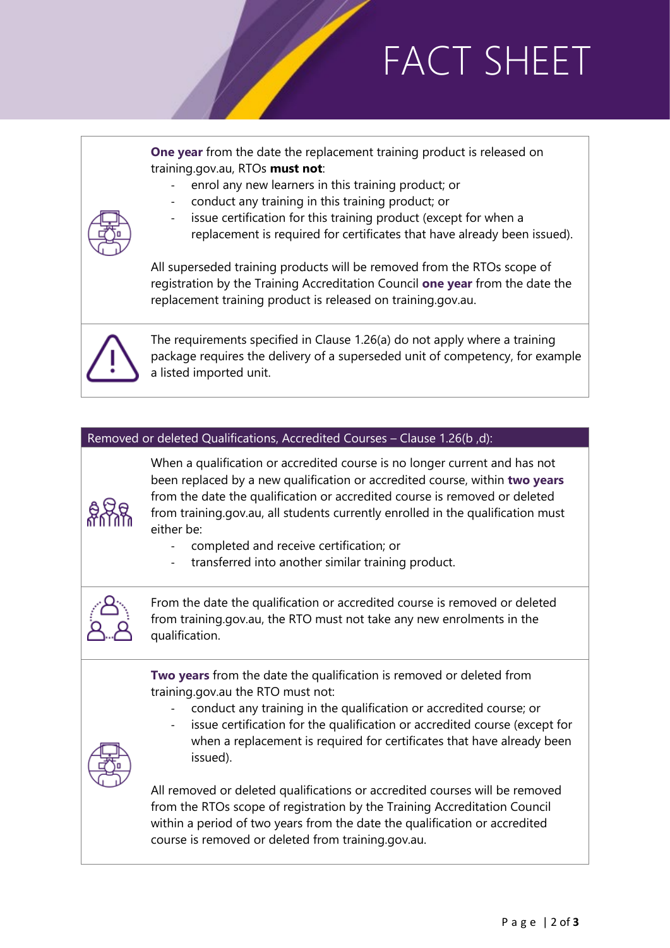## FACT SHEET

**One year** from the date the replacement training product is released on training.gov.au, RTOs **must not**:

- enrol any new learners in this training product; or
- conduct any training in this training product; or
- issue certification for this training product (except for when a
- replacement is required for certificates that have already been issued).

All superseded training products will be removed from the RTOs scope of registration by the Training Accreditation Council **one year** from the date the replacement training product is released on training.gov.au.



The requirements specified in Clause 1.26(a) do not apply where a training package requires the delivery of a superseded unit of competency, for example a listed imported unit.

#### Removed or deleted Qualifications, Accredited Courses – Clause 1.26(b ,d):



When a qualification or accredited course is no longer current and has not been replaced by a new qualification or accredited course, within **two years** from the date the qualification or accredited course is removed or deleted from training.gov.au, all students currently enrolled in the qualification must either be:

- completed and receive certification; or
- transferred into another similar training product.



From the date the qualification or accredited course is removed or deleted from training.gov.au, the RTO must not take any new enrolments in the qualification.

**Two years** from the date the qualification is removed or deleted from training.gov.au the RTO must not:

- conduct any training in the qualification or accredited course; or
- issue certification for the qualification or accredited course (except for



when a replacement is required for certificates that have already been issued).

All removed or deleted qualifications or accredited courses will be removed from the RTOs scope of registration by the Training Accreditation Council within a period of two years from the date the qualification or accredited course is removed or deleted from training.gov.au.